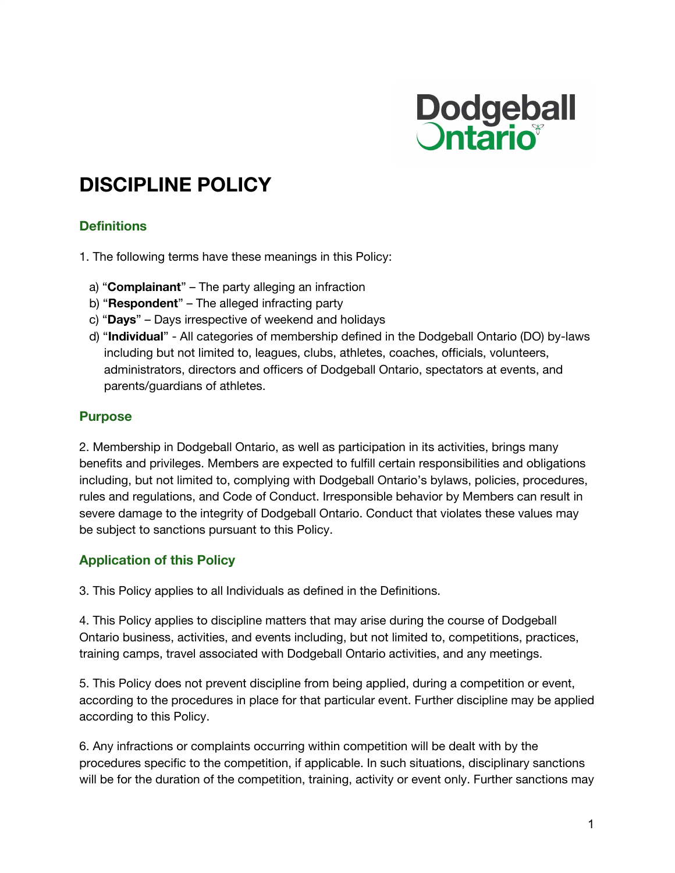

# **DISCIPLINE POLICY**

## **Definitions**

1. The following terms have these meanings in this Policy:

- a) "**Complainant**" The party alleging an infraction
- b) "**Respondent**" The alleged infracting party
- c) "**Days**" Days irrespective of weekend and holidays
- d) "**Individual**" All categories of membership defined in the Dodgeball Ontario (DO) by-laws including but not limited to, leagues, clubs, athletes, coaches, officials, volunteers, administrators, directors and officers of Dodgeball Ontario, spectators at events, and parents/guardians of athletes.

#### **Purpose**

2. Membership in Dodgeball Ontario, as well as participation in its activities, brings many benefits and privileges. Members are expected to fulfill certain responsibilities and obligations including, but not limited to, complying with Dodgeball Ontario's bylaws, policies, procedures, rules and regulations, and Code of Conduct. Irresponsible behavior by Members can result in severe damage to the integrity of Dodgeball Ontario. Conduct that violates these values may be subject to sanctions pursuant to this Policy.

## **Application of this Policy**

3. This Policy applies to all Individuals as defined in the Definitions.

4. This Policy applies to discipline matters that may arise during the course of Dodgeball Ontario business, activities, and events including, but not limited to, competitions, practices, training camps, travel associated with Dodgeball Ontario activities, and any meetings.

5. This Policy does not prevent discipline from being applied, during a competition or event, according to the procedures in place for that particular event. Further discipline may be applied according to this Policy.

6. Any infractions or complaints occurring within competition will be dealt with by the procedures specific to the competition, if applicable. In such situations, disciplinary sanctions will be for the duration of the competition, training, activity or event only. Further sanctions may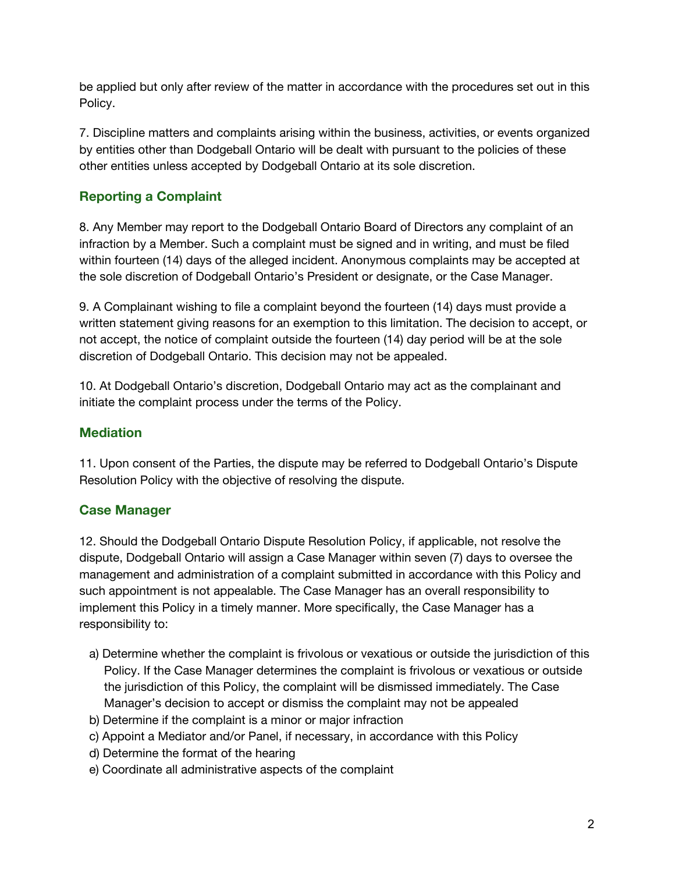be applied but only after review of the matter in accordance with the procedures set out in this Policy.

7. Discipline matters and complaints arising within the business, activities, or events organized by entities other than Dodgeball Ontario will be dealt with pursuant to the policies of these other entities unless accepted by Dodgeball Ontario at its sole discretion.

# **Reporting a Complaint**

8. Any Member may report to the Dodgeball Ontario Board of Directors any complaint of an infraction by a Member. Such a complaint must be signed and in writing, and must be filed within fourteen (14) days of the alleged incident. Anonymous complaints may be accepted at the sole discretion of Dodgeball Ontario's President or designate, or the Case Manager.

9. A Complainant wishing to file a complaint beyond the fourteen (14) days must provide a written statement giving reasons for an exemption to this limitation. The decision to accept, or not accept, the notice of complaint outside the fourteen (14) day period will be at the sole discretion of Dodgeball Ontario. This decision may not be appealed.

10. At Dodgeball Ontario's discretion, Dodgeball Ontario may act as the complainant and initiate the complaint process under the terms of the Policy.

## **Mediation**

11. Upon consent of the Parties, the dispute may be referred to Dodgeball Ontario's Dispute Resolution Policy with the objective of resolving the dispute.

## **Case Manager**

12. Should the Dodgeball Ontario Dispute Resolution Policy, if applicable, not resolve the dispute, Dodgeball Ontario will assign a Case Manager within seven (7) days to oversee the management and administration of a complaint submitted in accordance with this Policy and such appointment is not appealable. The Case Manager has an overall responsibility to implement this Policy in a timely manner. More specifically, the Case Manager has a responsibility to:

- a) Determine whether the complaint is frivolous or vexatious or outside the jurisdiction of this Policy. If the Case Manager determines the complaint is frivolous or vexatious or outside the jurisdiction of this Policy, the complaint will be dismissed immediately. The Case Manager's decision to accept or dismiss the complaint may not be appealed
- b) Determine if the complaint is a minor or major infraction
- c) Appoint a Mediator and/or Panel, if necessary, in accordance with this Policy
- d) Determine the format of the hearing
- e) Coordinate all administrative aspects of the complaint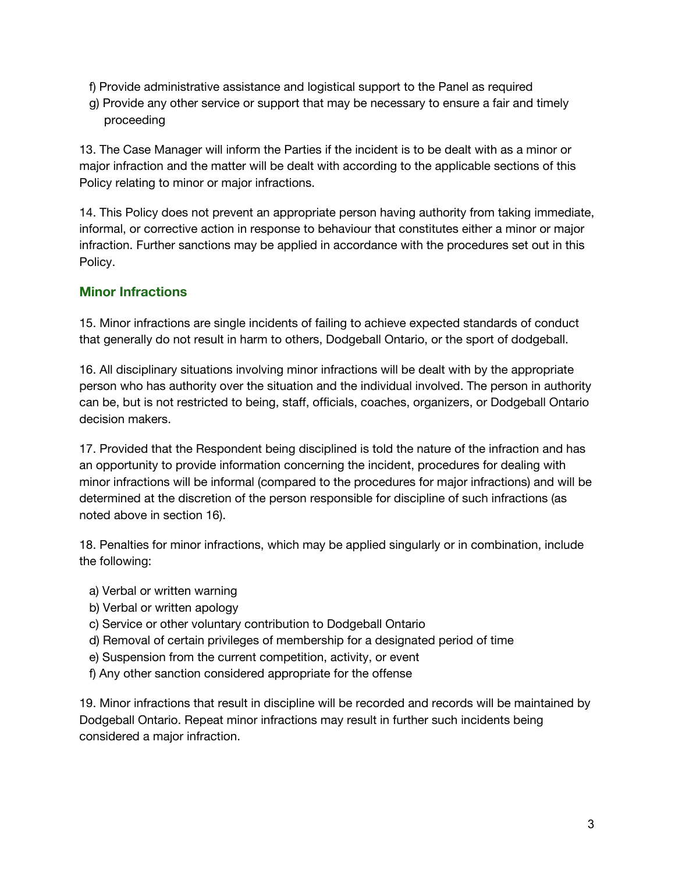- f) Provide administrative assistance and logistical support to the Panel as required
- g) Provide any other service or support that may be necessary to ensure a fair and timely proceeding

13. The Case Manager will inform the Parties if the incident is to be dealt with as a minor or major infraction and the matter will be dealt with according to the applicable sections of this Policy relating to minor or major infractions.

14. This Policy does not prevent an appropriate person having authority from taking immediate, informal, or corrective action in response to behaviour that constitutes either a minor or major infraction. Further sanctions may be applied in accordance with the procedures set out in this Policy.

## **Minor Infractions**

15. Minor infractions are single incidents of failing to achieve expected standards of conduct that generally do not result in harm to others, Dodgeball Ontario, or the sport of dodgeball.

16. All disciplinary situations involving minor infractions will be dealt with by the appropriate person who has authority over the situation and the individual involved. The person in authority can be, but is not restricted to being, staff, officials, coaches, organizers, or Dodgeball Ontario decision makers.

17. Provided that the Respondent being disciplined is told the nature of the infraction and has an opportunity to provide information concerning the incident, procedures for dealing with minor infractions will be informal (compared to the procedures for major infractions) and will be determined at the discretion of the person responsible for discipline of such infractions (as noted above in section 16).

18. Penalties for minor infractions, which may be applied singularly or in combination, include the following:

- a) Verbal or written warning
- b) Verbal or written apology
- c) Service or other voluntary contribution to Dodgeball Ontario
- d) Removal of certain privileges of membership for a designated period of time
- e) Suspension from the current competition, activity, or event
- f) Any other sanction considered appropriate for the offense

19. Minor infractions that result in discipline will be recorded and records will be maintained by Dodgeball Ontario. Repeat minor infractions may result in further such incidents being considered a major infraction.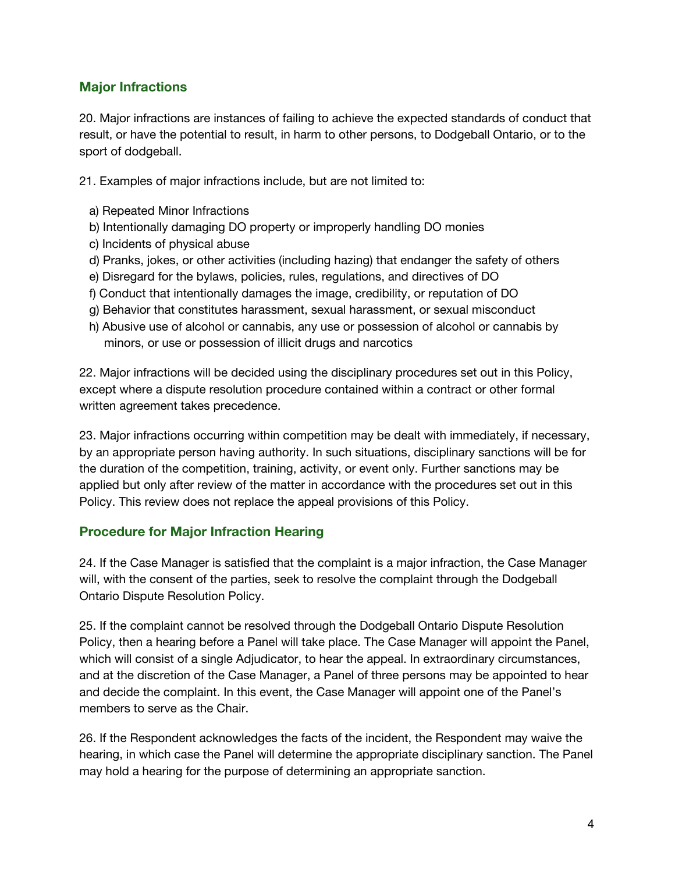## **Major Infractions**

20. Major infractions are instances of failing to achieve the expected standards of conduct that result, or have the potential to result, in harm to other persons, to Dodgeball Ontario, or to the sport of dodgeball.

21. Examples of major infractions include, but are not limited to:

- a) Repeated Minor Infractions
- b) Intentionally damaging DO property or improperly handling DO monies
- c) Incidents of physical abuse
- d) Pranks, jokes, or other activities (including hazing) that endanger the safety of others
- e) Disregard for the bylaws, policies, rules, regulations, and directives of DO
- f) Conduct that intentionally damages the image, credibility, or reputation of DO
- g) Behavior that constitutes harassment, sexual harassment, or sexual misconduct
- h) Abusive use of alcohol or cannabis, any use or possession of alcohol or cannabis by minors, or use or possession of illicit drugs and narcotics

22. Major infractions will be decided using the disciplinary procedures set out in this Policy, except where a dispute resolution procedure contained within a contract or other formal written agreement takes precedence.

23. Major infractions occurring within competition may be dealt with immediately, if necessary, by an appropriate person having authority. In such situations, disciplinary sanctions will be for the duration of the competition, training, activity, or event only. Further sanctions may be applied but only after review of the matter in accordance with the procedures set out in this Policy. This review does not replace the appeal provisions of this Policy.

#### **Procedure for Major Infraction Hearing**

24. If the Case Manager is satisfied that the complaint is a major infraction, the Case Manager will, with the consent of the parties, seek to resolve the complaint through the Dodgeball Ontario Dispute Resolution Policy.

25. If the complaint cannot be resolved through the Dodgeball Ontario Dispute Resolution Policy, then a hearing before a Panel will take place. The Case Manager will appoint the Panel, which will consist of a single Adjudicator, to hear the appeal. In extraordinary circumstances, and at the discretion of the Case Manager, a Panel of three persons may be appointed to hear and decide the complaint. In this event, the Case Manager will appoint one of the Panel's members to serve as the Chair.

26. If the Respondent acknowledges the facts of the incident, the Respondent may waive the hearing, in which case the Panel will determine the appropriate disciplinary sanction. The Panel may hold a hearing for the purpose of determining an appropriate sanction.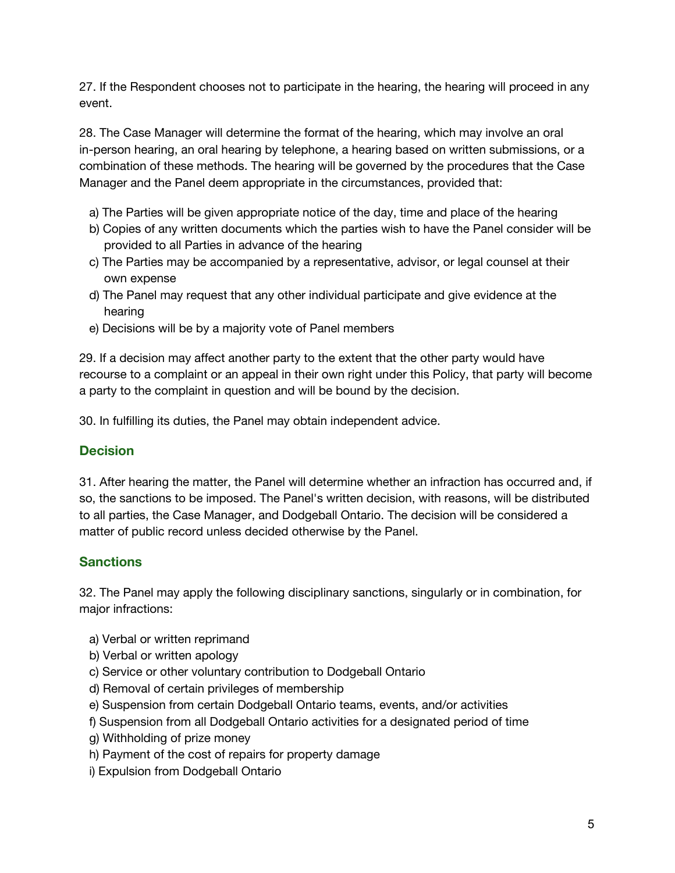27. If the Respondent chooses not to participate in the hearing, the hearing will proceed in any event.

28. The Case Manager will determine the format of the hearing, which may involve an oral in-person hearing, an oral hearing by telephone, a hearing based on written submissions, or a combination of these methods. The hearing will be governed by the procedures that the Case Manager and the Panel deem appropriate in the circumstances, provided that:

- a) The Parties will be given appropriate notice of the day, time and place of the hearing
- b) Copies of any written documents which the parties wish to have the Panel consider will be provided to all Parties in advance of the hearing
- c) The Parties may be accompanied by a representative, advisor, or legal counsel at their own expense
- d) The Panel may request that any other individual participate and give evidence at the hearing
- e) Decisions will be by a majority vote of Panel members

29. If a decision may affect another party to the extent that the other party would have recourse to a complaint or an appeal in their own right under this Policy, that party will become a party to the complaint in question and will be bound by the decision.

30. In fulfilling its duties, the Panel may obtain independent advice.

## **Decision**

31. After hearing the matter, the Panel will determine whether an infraction has occurred and, if so, the sanctions to be imposed. The Panel's written decision, with reasons, will be distributed to all parties, the Case Manager, and Dodgeball Ontario. The decision will be considered a matter of public record unless decided otherwise by the Panel.

# **Sanctions**

32. The Panel may apply the following disciplinary sanctions, singularly or in combination, for major infractions:

- a) Verbal or written reprimand
- b) Verbal or written apology
- c) Service or other voluntary contribution to Dodgeball Ontario
- d) Removal of certain privileges of membership
- e) Suspension from certain Dodgeball Ontario teams, events, and/or activities
- f) Suspension from all Dodgeball Ontario activities for a designated period of time
- g) Withholding of prize money
- h) Payment of the cost of repairs for property damage
- i) Expulsion from Dodgeball Ontario